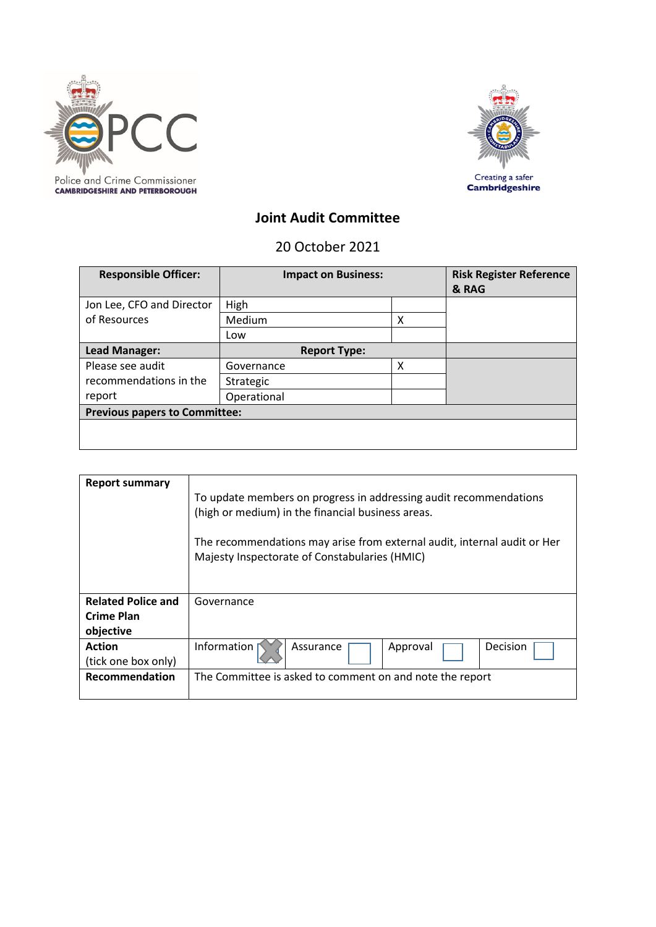



# **Joint Audit Committee**

20 October 2021

| <b>Responsible Officer:</b>          | <b>Impact on Business:</b> |   | <b>Risk Register Reference</b><br>& RAG |
|--------------------------------------|----------------------------|---|-----------------------------------------|
| Jon Lee, CFO and Director            | High                       |   |                                         |
| of Resources                         | Medium                     | Χ |                                         |
|                                      | Low                        |   |                                         |
| Lead Manager:                        | <b>Report Type:</b>        |   |                                         |
| Please see audit                     | Governance                 | х |                                         |
| recommendations in the               | Strategic                  |   |                                         |
| report                               | Operational                |   |                                         |
| <b>Previous papers to Committee:</b> |                            |   |                                         |
|                                      |                            |   |                                         |

| <b>Report summary</b>                                | To update members on progress in addressing audit recommendations<br>(high or medium) in the financial business areas.<br>The recommendations may arise from external audit, internal audit or Her<br>Majesty Inspectorate of Constabularies (HMIC) |  |  |
|------------------------------------------------------|-----------------------------------------------------------------------------------------------------------------------------------------------------------------------------------------------------------------------------------------------------|--|--|
| <b>Related Police and</b><br>Crime Plan<br>objective | Governance                                                                                                                                                                                                                                          |  |  |
| <b>Action</b><br>(tick one box only)                 | Information<br>Decision<br>Assurance<br>Approval                                                                                                                                                                                                    |  |  |
| <b>Recommendation</b>                                | The Committee is asked to comment on and note the report                                                                                                                                                                                            |  |  |